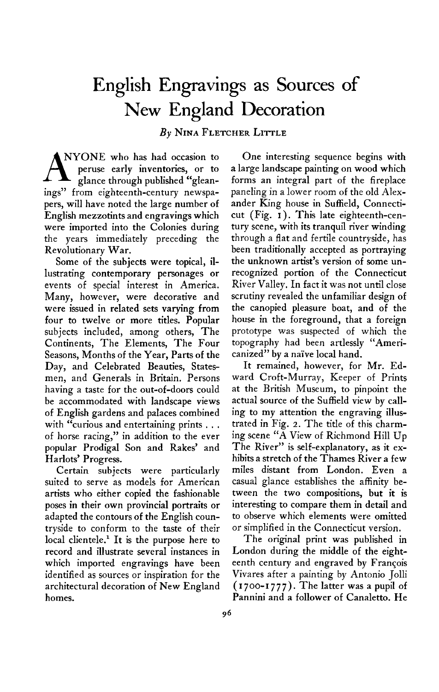## **English Engravings as Sources of New England Decoration**

**By NINA FLETCHER LITTLE** 

**A NYONE** who has had occasion to peruse early inventories, or to glance through published "glean**ings" from eighteenth-century newspapers, will have noted the large number of English mezzotints and engravings which were imported into the Colonies during the years immediately preceding the Revolutionary War.** 

**Some of the subjects were topical, illustrating contemporary personages or events of special interest in America. Many, however, were decorative and were issued in related sets varying from four to twelve or more titles. Popular subjects included, among others, The Continents, The Elements, The Four Seasons, Months of the Year, Parts of the Day, and Celebrated Beauties, Statesmen, and Generals in Britain. Persons having a taste for the out-of-doors could be accommodated with landscape views of English gardens and palaces combined with "curious and entertaining prints . . . of horse racing," in addition to the ever popular Prodigal Son and Rakes' and Harlots' Progress.** 

**Certain subjects were particularly suited to serve as models for American artists who either copied the fashionable poses in their own provincial portraits or adapted the contours of the English countryside to conform to the taste of their local clientele.' It is the purpose here to record and illustrate several instances in which imported engravings have been identified as sources or inspiration for the architectural decoration of New England homes.** 

**One interesting sequence begins with a large landscape painting on wood which forms an integral part of the fireplace paneling in a lower room of the old Alexander King house in Suffield, Connecticut (Fig. I ). This late eighteenth-century scene, with its tranquil river winding through a flat and fertile countryside, has been traditionally accepted as portraying the unknown artist's version of some unrecognized portion of the Connecticut River Valley, In fact it was not until close scrutiny revealed the unfamiliar design of the canopied pleasure boat, and of the house in the foreground, that a foreign prototype was suspected of which the topography had been artlessly "Americanized" by a nai've local hand.** 

**It remained, however, for Mr. Edward Croft-Murray, Keeper of Prints at the British Museum, to pinpoint the actual source of the Suffield view by calling to my attention the engraving illustrated in Fig. 2. The title of this charming scene "A View of Richmond Hill Up The River" is self-explanatory, as it exhibits a stretch of the Thames River a few miles distant from London. Even a casual glance establishes the affinity between the two compositions, but it is interesting to compare them in detail and to observe which elements were omitted or simplified in the Connecticut version.** 

**The original print was published in London during the middle of the eighteenth century and engraved by Francois Vivares after a painting by Antonio Jolli (1700-1777). The latter was a pupil of Pannini and a follower of Canaletto. He**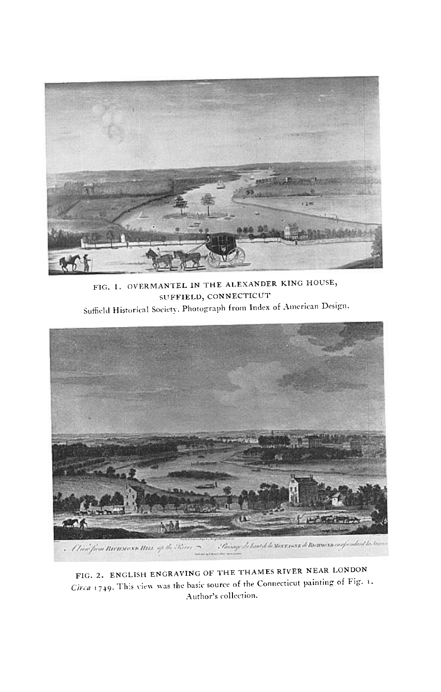

**FIG. I. OVERMANTEL IN THE ALESANDER KING HOUSE, SUFFIELD, CONNECTICUT**  Suffield Historical Society. Photograph from Index of American Design.



FIG. 2. ENGLISH ENGRAVING OF THE THAMES RIVER NEAR LONDON  $\mathbf{C}$  **C**, a  $\mathbf{C}$   $\mathbf{C}$   $\mathbf{C}$  a  $\mathbf{C}$  source is the  $\mathbf{C}$  source of  $\mathbf{C}$   $\mathbf{C}$   $\mathbf{C}$   $\mathbf{C}$   $\mathbf{C}$   $\mathbf{C}$   $\mathbf{C}$   $\mathbf{C}$   $\mathbf{C}$   $\mathbf{C}$   $\mathbf{C}$   $\mathbf{C}$   $\mathbf{C}$   $\mathbf{C}$   $\mathbf{C}$ **.-\uthor's collection.**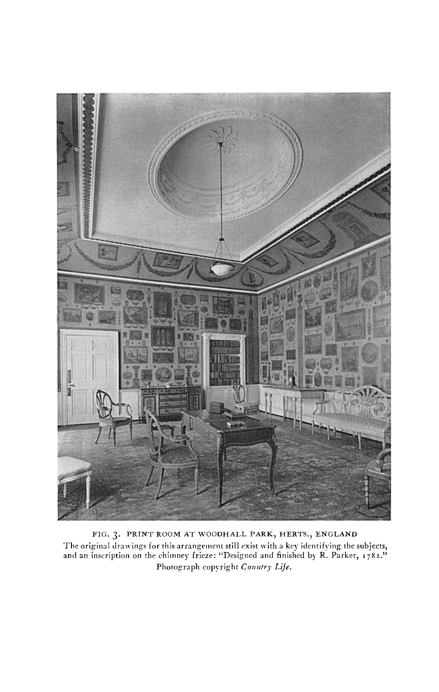

**FIG. 3. PRINT ROOM AT WOODHALL PARK, HERTS., ENGLAND The original drawings for this arrangement still exist \vith a key identifying the subjects, and an inscription on the chimney frieze: "Designed and finished by R. Parker, I 782."**  Photograph copyright Country Life.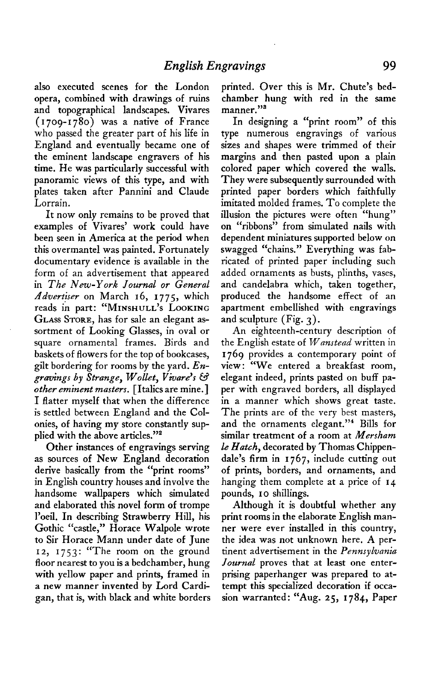**also executed scenes for the London opera, combined with drawings of ruins and topographical landscapes. Vivares ( I 709-1780) was a native of France who passed the greater part of his life in England and eventually became one of the eminent landscape engravers of his time. He was particularly successful with panoramic views of this type, and with plates taken after Pannini and Claude Lorrain.** 

**It now only remains to be proved that examples of Vivares' work could have been seen in America at the period when this overmantel was painted. Fortunately documentary evidence is available in the form of an advertisement that appeared in The New-York Journal or General**  Advertiser on March 16, 1775, which **reads in part: "MINSHULL'S LOOKING**  GLASS STORE, has for sale an elegant as**sortment of Looking Glasses, in oval or square ornamental frames. Birds and baskets of flowers for the top of bookcases, gilt bordering for rooms by the yard. En**gravings by Strange, Wollet, Vivare's & **other eminent masters. [Italics are mine.] I flatter myself that when the difference is settled between England and the Colonies, of having my store constantly sup**plied with the above articles."<sup>2</sup>

**Other instances of engravings serving as sources of New England decoration derive basically from the "print rooms" in English country houses and involve the handsome wallpapers which simulated and elaborated this novel form of trompe l'oeil. In describing Strawberry Hill, his Gothic "castle," Horace Walpole wrote to Sir Horace Mann under date of June**  12, 1753: "The room on the ground **floor nearest to you is a bedchamber, hung with yellow paper and prints, framed in a new manner invented by Lord Cardigan, that is, with black and white borders**  **printed. Over this is Mr. Chute's bedchamber hung with red in the same**  manner."<sup>3</sup>

**In designing a "print room" of this type numerous engravings of various sizes and shapes were trimmed of their margins and then pasted upon a plain colored paper which covered the walls. They were subsequently surrounded with printed paper borders which faithfully imitated molded frames. To complete the illusion the pictures were often "hung" on "ribbons" from simulated nails with dependent miniatures supported below on swagged "chains." Everything was fabricated of printed paper including such added ornaments as busts, plinths, vases, and candelabra which, taken together, produced the handsome effect of an apartment embellished with engravings and sculpture (Fig. 3).** 

**An eighteenth-century description of the English estate of Wanstead written in 1769 provides a contemporary point of view : "We entered a breakfast room, elegant indeed, prints pasted on buff paper with engraved borders, all displayed in a manner which shows great taste. The prints are of the very best masters, and the ornaments elegant."4 Bills for similar treatment of a room at Mersham le Hatch, decorated by Thomas Chippendale's firm in 1767, include cutting out of prints, borders, and ornaments, and hanging them complete at a price of 14 pounds, I o shillings.** 

**Although it is doubtful whether any print rooms in the elaborate English manner were ever installed in this country, the idea was not unknown here. A pertinent advertisement in the Pennsylvania Journal proves that at least one enterprising paperhanger was prepared to attempt this specialized decoration if occasion warranted: "Aug. 25, 1784, Paper**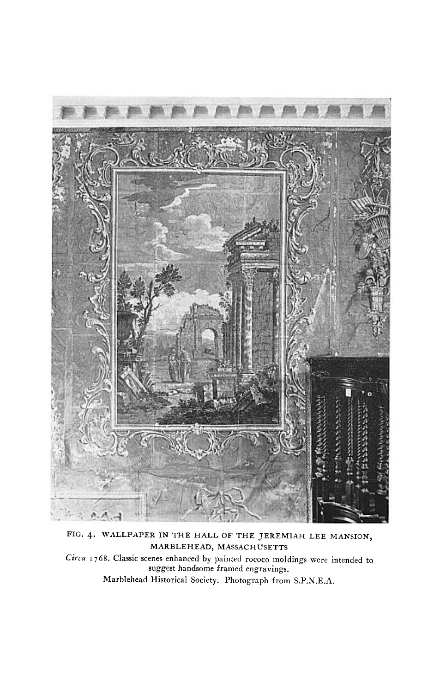

**FIG. 4. WALLPAPER IN THE HALL OF THE JEREMIAH LEE MANSION, MARBLEHEAD, MASSACHUSETTS Circa I 768. Classic scenes enhanced by painted rococo moldings were intended to suggest handsome framed engravings. Marblehead Historical Society. Photograph from S.P.N.E.A.**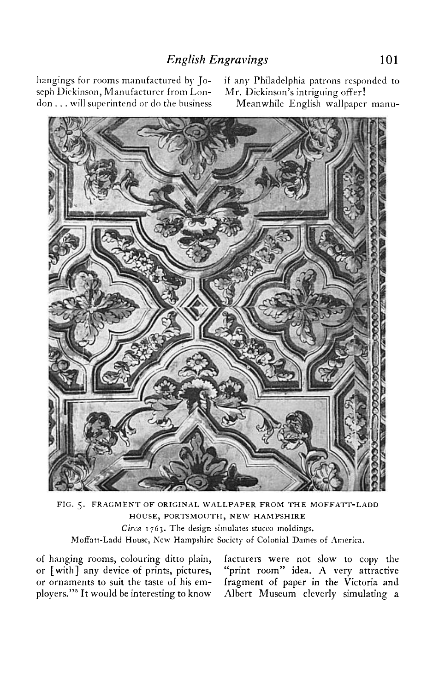**hangings for rooms manufactured by Jo- if any Philadelphia patrons responded to**  seph Dickinson, Manufacturer from Lon**don . . . will superintend or do the business Meanwhile English wallpaper manu-**



**FIG. 5. FRAGMENT OF ORIGINAL WALLPAPER FROM THE MOFFATT-LADD HOUSE, PORTSMOIJTH, NEW HAMPSHIRE Cirra 1763. The design simulates stucco moldings.**  Moffatt-Ladd House, New Hampshire Society of Colonial Dames of America.

**of hanging rooms, colouring ditto plain, facturers were not slow to copy the or [with] any device of prints, pictures, "print room" idea. A very attractive or ornaments to suit the taste of his em- fragment of paper in the Victoria and players."' It would be interesting to know Albert Museum cleverly simulating a**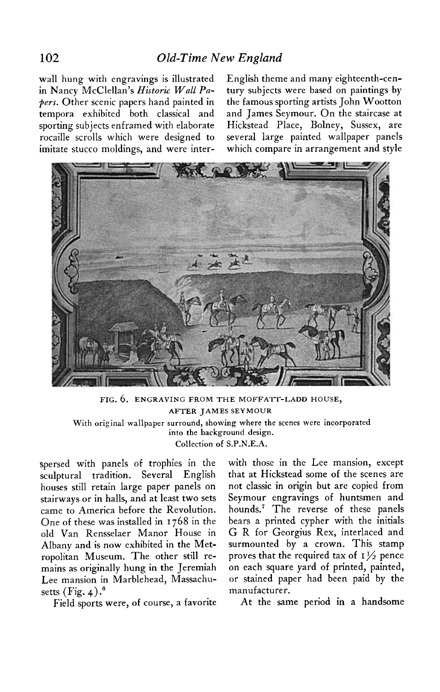**wall hung with engravings is illustrated English theme and many eighteenth-cen-**

**in Nancy McClellan's Historic Wall Pa- tury subjects were based on paintings by pers. Other scenic papers hand painted in the famous sporting artists John Wootton tempora exhibited both classical and and James Seymour. On the staircase at sporting subjects enframed with elaborate Hickstead Place, Bolney, Sussex, are rocaille scrolls which were designed to several large painted wallpaper panels imitate stucco moldings, and were inter- which compare in arrangement and style** 



**FIG. 6. ENGRAVING FROM THE MOFFA?T-LADD HOUSE, AFTER JAMES SEYMOUR With original wallpaper surround, showing where the scenes were incorporated into the background design. Collection of S.P.N.E.A.** 

**spersed with panels of trophies in the sculptural tradition. Several English houses still retain large paper panels on stairways or in halls, and at least two sets came to America before the Revolution. One of these was installed in 1768 in the old Van Rensselaer Manor House in Albany and is now exhibited in the Metropolitan Museum. The other still remains as originally hung in the Jeremiah Lee mansion in Marblehead, Massachu**setts (Fig. 4).<sup>6</sup>

**with those in the Lee mansion, except that at Hickstead some of the scenes are not classic in origin but are copied from Seymour engravings of huntsmen and hounds.' The reverse of these panels bears a printed cypher with the initials G R for Georgius Rex, interlaced and surmounted by a crown. This stamp proves that the required tax of**  $I\frac{1}{2}$  **pence on each square yard of printed, painted, or stained paper had been paid by the manufacturer.** 

**Field sports were, of course, a favorite At the same period in a handsome**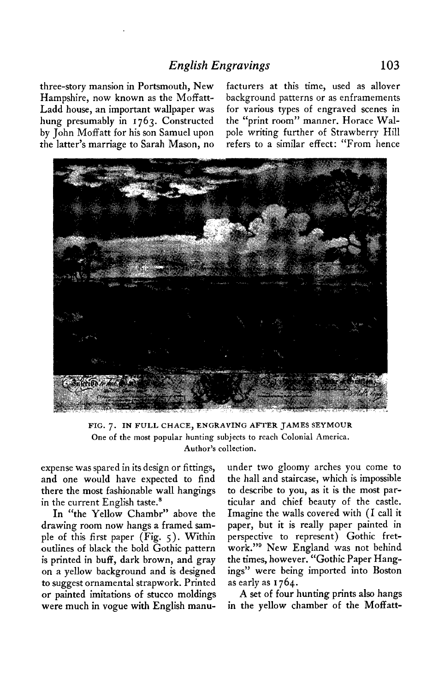**three-story mansion in Portsmouth, New facturers at this time, used as allover Hampshire, now known as the Moffatt- background patterns or as enframements Ladd house, an important wallpaper was for various types of engraved scenes in hung presumably in 1763. Constructed the "print room" manner. Horace Walby John Moff att for his son Samuel upon pole writing further of Strawberry Hill the latter's marriage to Sarah Mason, no refers to a similar effect: "From hence** 



**FIG. 7. IN FULL CHACE, ENGRAVING AFTER JAMES SEYMOUR One of the most popular hunting subjects to reach Colonial America. Author's collection.** 

**expense was spared in its design or fittings, and one would have expected to find there the most fashionable wall hangings**  in the current English taste.<sup>8</sup>

**In "the Yellow Chambr" above the drawing room now hangs a framed sample of this first paper (Fig. 5). Within outlines of black the bold Gothic pattern is printed in buff, dark brown, and gray on a yellow background and is designed to suggest ornamental strapwork. Printed or painted imitations of stucco moldings were much in vogue with English manu-**

**under two gloomy arches you come to the hall and staircase, which is impossible to describe to you, as it is the most particular and chief beauty of the castle. Imagine the walls covered with (I call it paper, but it is really paper painted in perspective to represent) Gothic fretwork."' New England was not behind the times, however. "Gothic Paper Hangings" were being imported into Boston as early as I 764.** 

**A set of four hunting prints also hangs in the yellow chamber of the Moffatt-**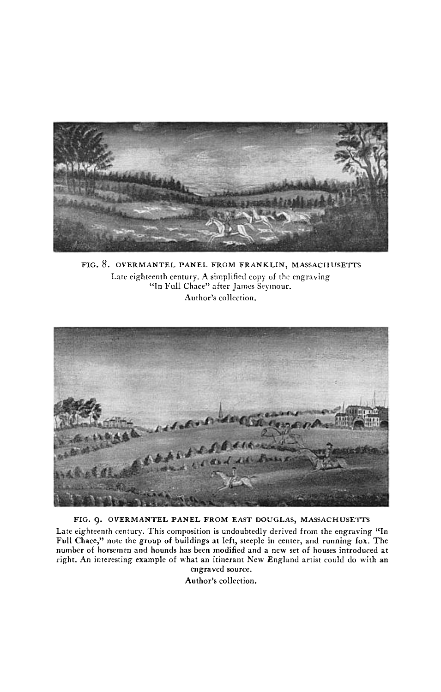

FIG. 8. OVERMANTEL PANEL FROM FRANKLIN, MASSACHUSETTS **Late eighteenth century. A simplified copy of the engraving "In Full Chnce" after James Seymour. Author's collection.** 



FIG. 9. OVERMANTEL PANEL FROM EAST DOUGLAS, MASSACHUSETTS

**Late eighteenth century. This composition is undoubtedly derived from the engraving "In Full Chace," note the group of buildings at left, steeple in center, and running fox. The number of horsemen and hounds has been modified and a new set of houses introduced at right. An interesting example of what an itinerant New England artist could do with an engraved source.** 

**Author's collection.**